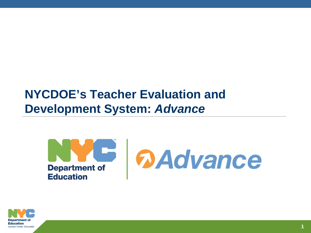# **NYCDOE's Teacher Evaluation and Development System:** *Advance*



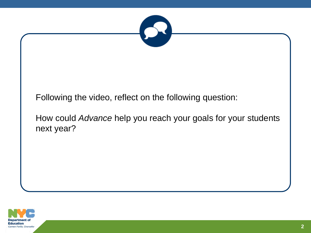

Following the video, reflect on the following question:

How could *Advance* help you reach your goals for your students next year?

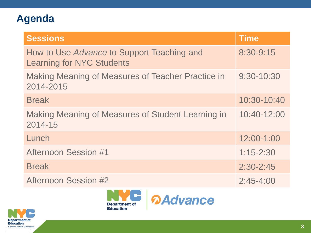# **Agenda**

| <b>Sessions</b>                                                                | <b>Time</b>    |
|--------------------------------------------------------------------------------|----------------|
| How to Use Advance to Support Teaching and<br><b>Learning for NYC Students</b> | 8:30-9:15      |
| <b>Making Meaning of Measures of Teacher Practice in</b><br>2014-2015          | $9:30 - 10:30$ |
| <b>Break</b>                                                                   | $10:30-10:40$  |
| <b>Making Meaning of Measures of Student Learning in</b><br>2014-15            | 10:40-12:00    |
| Lunch                                                                          | 12:00-1:00     |
| <b>Afternoon Session #1</b>                                                    | $1:15 - 2:30$  |
| <b>Break</b>                                                                   | $2:30 - 2:45$  |
| <b>Afternoon Session #2</b>                                                    | $2:45 - 4:00$  |



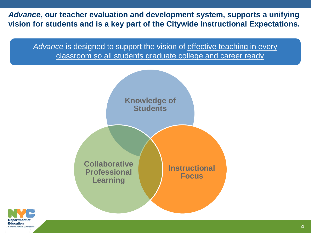*Advance***, our teacher evaluation and development system, supports a unifying vision for students and is a key part of the Citywide Instructional Expectations.**

Advance is designed to support the vision of effective teaching in every classroom so all students graduate college and career ready.



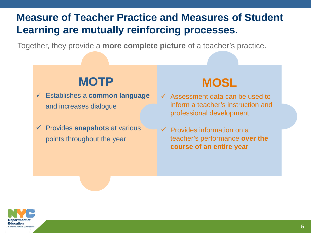# **Measure of Teacher Practice and Measures of Student Learning are mutually reinforcing processes.**

Together, they provide a **more complete picture** of a teacher's practice.

# **MOTP**

- Establishes a **common language** and increases dialogue
- Provides **snapshots** at various points throughout the year

# **MOSL**

- $\checkmark$  Assessment data can be used to inform a teacher's instruction and professional development
- $\checkmark$  Provides information on a teacher's performance **over the course of an entire year**

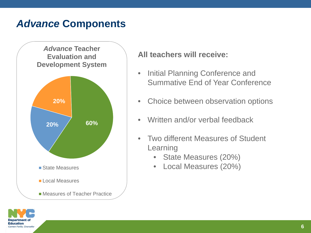# *Advance* **Components**



## **All teachers will receive:**

- Initial Planning Conference and Summative End of Year Conference
- Choice between observation options
- Written and/or verbal feedback
- Two different Measures of Student Learning
	- State Measures (20%)
	- Local Measures (20%)

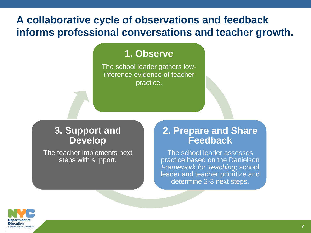# **A collaborative cycle of observations and feedback informs professional conversations and teacher growth.**

## **1. Observe**

The school leader gathers lowinference evidence of teacher practice.

## **3. Support and Develop**

The teacher implements next steps with support.

## **2. Prepare and Share Feedback**

The school leader assesses practice based on the Danielson *Framework for Teaching*; school leader and teacher prioritize and determine 2-3 next steps.

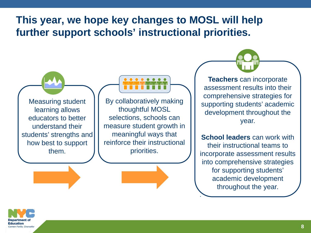# **This year, we hope key changes to MOSL will help further support schools' instructional priorities.**

Measuring student learning allows educators to better understand their students' strengths and how best to support them.

By collaboratively making thoughtful MOSL selections, schools can measure student growth in meaningful ways that reinforce their instructional priorities.

**Teachers** can incorporate assessment results into their comprehensive strategies for supporting students' academic development throughout the year.

**School leaders** can work with their instructional teams to incorporate assessment results into comprehensive strategies for supporting students' academic development throughout the year.

.<br>.

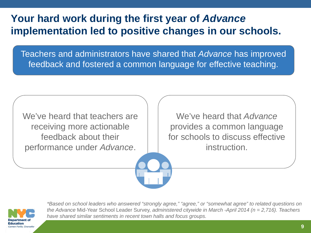# **Your hard work during the first year of** *Advance*  **implementation led to positive changes in our schools.**

Teachers and administrators have shared that *Advance* has improved feedback and fostered a common language for effective teaching.

We've heard that teachers are receiving more actionable feedback about their performance under *Advance*.

We've heard that *Advance*  provides a common language for schools to discuss effective instruction.



*\*Based on school leaders who answered "strongly agree," "agree," or "somewhat agree" to related questions on the Advance* Mid-Year School Leader Survey, *administered citywide in March -April 2014 (n = 2,716). Teachers have shared similar sentiments in recent town halls and focus groups.*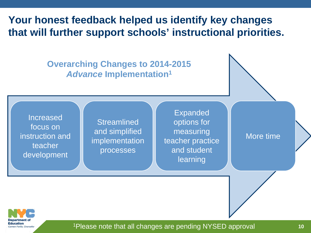**Your honest feedback helped us identify key changes that will further support schools' instructional priorities.**

> **Overarching Changes to 2014-2015**  *Advance* **Implementation1**

Increased focus on instruction and teacher development

**Streamlined** and simplified implementation processes

Expanded options for measuring teacher practice and student learning

More time



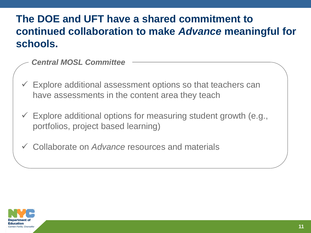# **The DOE and UFT have a shared commitment to continued collaboration to make** *Advance* **meaningful for schools.**

- *Central MOSL Committee*
- $\checkmark$  Explore additional assessment options so that teachers can have assessments in the content area they teach
- $\checkmark$  Explore additional options for measuring student growth (e.g., portfolios, project based learning)
- Collaborate on *Advance* resources and materials

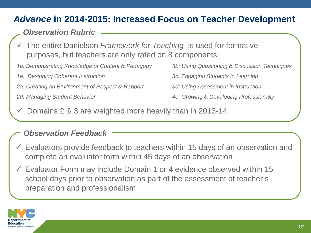## *Advance* **in 2014-2015: Increased Focus on Teacher Development**

## *Observation Rubric*

- The entire Danielson *Framework for Teaching* is used for formative purposes, but teachers are only rated on 8 components:
- *1a: Demonstrating Knowledge of Content & Pedagogy 3b: Using Questioning & Discussion Techniques*
- *1e: Designing Coherent Instruction 3c: Engaging Students in Learning*
- *2a: Creating an Environment of Respect & Rapport 3d: Using Assessment in Instruction*
- 

- 
- 
- *2d: Managing Student Behavior 4e: Growing & Developing Professionally*
- Domains 2 & 3 are weighted more heavily than in 2013-14

#### *Observation Feedback*

- $\checkmark$  Evaluators provide feedback to teachers within 15 days of an observation and complete an evaluator form within 45 days of an observation
- $\checkmark$  Evaluator Form may include Domain 1 or 4 evidence observed within 15 school days prior to observation as part of the assessment of teacher's preparation and professionalism

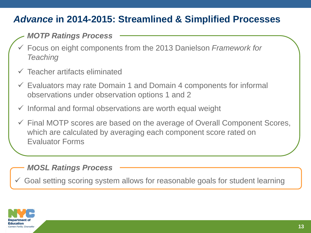## *Advance* **in 2014-2015: Streamlined & Simplified Processes**

## *MOTP Ratings Process*

- Focus on eight components from the 2013 Danielson *Framework for Teaching*
- $\checkmark$  Teacher artifacts eliminated
- $\checkmark$  Evaluators may rate Domain 1 and Domain 4 components for informal observations under observation options 1 and 2
- $\checkmark$  Informal and formal observations are worth equal weight
- $\checkmark$  Final MOTP scores are based on the average of Overall Component Scores, which are calculated by averaging each component score rated on Evaluator Forms

#### *MOSL Ratings Process*

Goal setting scoring system allows for reasonable goals for student learning

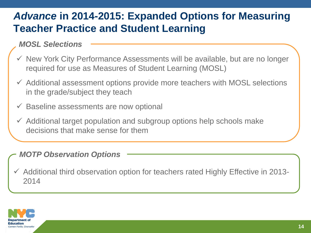# *Advance* **in 2014-2015: Expanded Options for Measuring Teacher Practice and Student Learning**

## *MOSL Selections*

- $\checkmark$  New York City Performance Assessments will be available, but are no longer required for use as Measures of Student Learning (MOSL)
- $\checkmark$  Additional assessment options provide more teachers with MOSL selections in the grade/subject they teach
- $\checkmark$  Baseline assessments are now optional
- $\checkmark$  Additional target population and subgroup options help schools make decisions that make sense for them

#### *MOTP Observation Options*

 $\checkmark$  Additional third observation option for teachers rated Highly Effective in 2013-2014

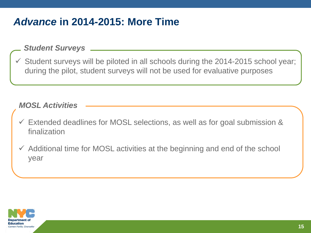# *Advance* **in 2014-2015: More Time**

#### *Student Surveys*

 Student surveys will be piloted in all schools during the 2014-2015 school year; during the pilot, student surveys will not be used for evaluative purposes

#### *MOSL Activities*

- $\checkmark$  Extended deadlines for MOSL selections, as well as for goal submission & finalization
- $\checkmark$  Additional time for MOSL activities at the beginning and end of the school year

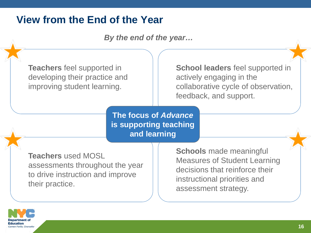# **View from the End of the Year**

*By the end of the year…*

**Teachers** feel supported in developing their practice and improving student learning.

**School leaders** feel supported in actively engaging in the collaborative cycle of observation, feedback, and support.

**The focus of** *Advance*  **is supporting teaching and learning**

**Teachers** used MOSL assessments throughout the year to drive instruction and improve their practice.

**Schools** made meaningful Measures of Student Learning decisions that reinforce their instructional priorities and assessment strategy.

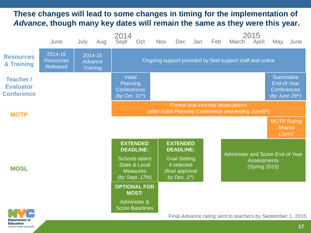## **These changes will lead to some changes in timing for the implementation of**  *Advance***, though many key dates will remain the same as they were this year.**

|                                                                                     | June                                                                                       | July                                  | Aug | 2014<br>Sept                                                             | Oct                                                                                     | <b>Nov</b> | Dec                                                                | Jan | Feb | March                                                                   | 2015<br>April | May                                                                        | June |
|-------------------------------------------------------------------------------------|--------------------------------------------------------------------------------------------|---------------------------------------|-----|--------------------------------------------------------------------------|-----------------------------------------------------------------------------------------|------------|--------------------------------------------------------------------|-----|-----|-------------------------------------------------------------------------|---------------|----------------------------------------------------------------------------|------|
| <b>Resources</b><br>& Training                                                      | 2014-15<br><b>Resources</b><br><b>Released</b>                                             | 2014-15<br><b>Advance</b><br>Training |     | Ongoing support provided by field support staff and online               |                                                                                         |            |                                                                    |     |     |                                                                         |               |                                                                            |      |
| Teacher /<br><b>Evaluator</b><br><b>Conference</b>                                  |                                                                                            |                                       |     | <b>Initial</b><br>Planning<br><b>Conferences</b><br>(by Oct. $31^{st}$ ) |                                                                                         |            |                                                                    |     |     |                                                                         |               | <b>Summative</b><br>End-of-Year<br><b>Conferences</b><br>(by June $26th$ ) |      |
| <b>MOTP</b>                                                                         | Formal and informal observations<br>(after Initial Planning Conference and ending June5th) |                                       |     |                                                                          |                                                                                         |            |                                                                    |     |     |                                                                         |               |                                                                            |      |
|                                                                                     |                                                                                            |                                       |     |                                                                          |                                                                                         |            |                                                                    |     |     |                                                                         |               | <b>MOTP Rating</b><br><b>Shared</b><br>(June)                              |      |
| <b>MOSL</b>                                                                         |                                                                                            |                                       |     |                                                                          | <b>EXTENDED</b><br><b>DEADLINE:</b>                                                     |            | <b>EXTENDED</b><br><b>DEADLINE:</b>                                |     |     | Administer and Score End-of-Year<br><b>Assessments</b><br>(Spring 2015) |               |                                                                            |      |
|                                                                                     |                                                                                            |                                       |     |                                                                          | <b>Schools select</b><br><b>State &amp; Local</b><br><b>Measures</b><br>(by Sept. 17th) |            | Goal-Setting,<br>if selected<br>(final approval<br>by Dec. $1st$ ) |     |     |                                                                         |               |                                                                            |      |
|                                                                                     |                                                                                            |                                       |     | <b>OPTIONAL FOR</b>                                                      | <b>MOST:</b>                                                                            |            |                                                                    |     |     |                                                                         |               |                                                                            |      |
|                                                                                     |                                                                                            |                                       |     |                                                                          | Administer &<br><b>Score Baselines</b>                                                  |            |                                                                    |     |     |                                                                         |               |                                                                            |      |
| Final Advance rating sent to teachers by September 1, 2015.<br><b>Department of</b> |                                                                                            |                                       |     |                                                                          |                                                                                         |            |                                                                    |     |     |                                                                         |               |                                                                            |      |

**Education** Carmen Fariña, Chancellor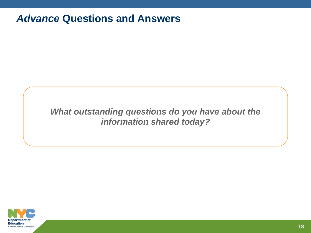## *Advance* **Questions and Answers**

## *What outstanding questions do you have about the information shared today?*